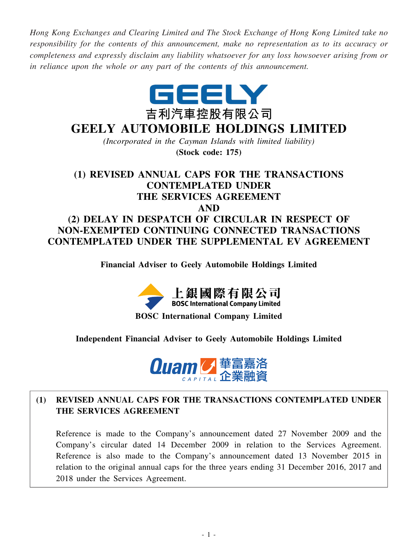*Hong Kong Exchanges and Clearing Limited and The Stock Exchange of Hong Kong Limited take no responsibility for the contents of this announcement, make no representation as to its accuracy or completeness and expressly disclaim any liability whatsoever for any loss howsoever arising from or in reliance upon the whole or any part of the contents of this announcement.*



# **GEELY AUTOMOBILE HOLDINGS LIMITED**

*(Incorporated in the Cayman Islands with limited liability)* **(Stock code: 175)**

# **(1) REVISED ANNUAL CAPS FOR THE TRANSACTIONS CONTEMPLATED UNDER THE SERVICES AGREEMENT AND (2) DELAY IN DESPATCH OF CIRCULAR IN RESPECT OF NON-EXEMPTED CONTINUING CONNECTED TRANSACTIONS**

**Financial Adviser to Geely Automobile Holdings Limited**

**CONTEMPLATED UNDER THE SUPPLEMENTAL EV AGREEMENT**



**BOSC International Company Limited**

### **Independent Financial Adviser to Geely Automobile Holdings Limited**



# **(1) REVISED ANNUAL CAPS FOR THE TRANSACTIONS CONTEMPLATED UNDER THE SERVICES AGREEMENT**

Reference is made to the Company's announcement dated 27 November 2009 and the Company's circular dated 14 December 2009 in relation to the Services Agreement. Reference is also made to the Company's announcement dated 13 November 2015 in relation to the original annual caps for the three years ending 31 December 2016, 2017 and 2018 under the Services Agreement.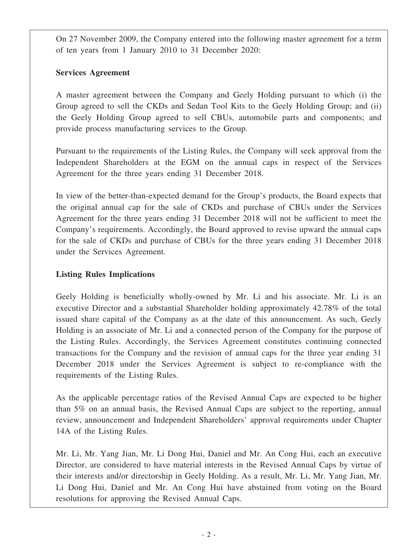On 27 November 2009, the Company entered into the following master agreement for a term of ten years from 1 January 2010 to 31 December 2020:

### **Services Agreement**

A master agreement between the Company and Geely Holding pursuant to which (i) the Group agreed to sell the CKDs and Sedan Tool Kits to the Geely Holding Group; and (ii) the Geely Holding Group agreed to sell CBUs, automobile parts and components; and provide process manufacturing services to the Group.

Pursuant to the requirements of the Listing Rules, the Company will seek approval from the Independent Shareholders at the EGM on the annual caps in respect of the Services Agreement for the three years ending 31 December 2018.

In view of the better-than-expected demand for the Group's products, the Board expects that the original annual cap for the sale of CKDs and purchase of CBUs under the Services Agreement for the three years ending 31 December 2018 will not be sufficient to meet the Company's requirements. Accordingly, the Board approved to revise upward the annual caps for the sale of CKDs and purchase of CBUs for the three years ending 31 December 2018 under the Services Agreement.

### **Listing Rules Implications**

Geely Holding is beneficially wholly-owned by Mr. Li and his associate. Mr. Li is an executive Director and a substantial Shareholder holding approximately 42.78% of the total issued share capital of the Company as at the date of this announcement. As such, Geely Holding is an associate of Mr. Li and a connected person of the Company for the purpose of the Listing Rules. Accordingly, the Services Agreement constitutes continuing connected transactions for the Company and the revision of annual caps for the three year ending 31 December 2018 under the Services Agreement is subject to re-compliance with the requirements of the Listing Rules.

As the applicable percentage ratios of the Revised Annual Caps are expected to be higher than 5% on an annual basis, the Revised Annual Caps are subject to the reporting, annual review, announcement and Independent Shareholders' approval requirements under Chapter 14A of the Listing Rules.

Mr. Li, Mr. Yang Jian, Mr. Li Dong Hui, Daniel and Mr. An Cong Hui, each an executive Director, are considered to have material interests in the Revised Annual Caps by virtue of their interests and/or directorship in Geely Holding. As a result, Mr. Li, Mr. Yang Jian, Mr. Li Dong Hui, Daniel and Mr. An Cong Hui have abstained from voting on the Board resolutions for approving the Revised Annual Caps.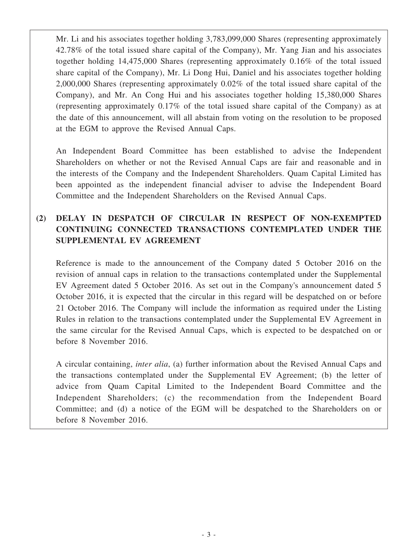Mr. Li and his associates together holding 3,783,099,000 Shares (representing approximately 42.78% of the total issued share capital of the Company), Mr. Yang Jian and his associates together holding 14,475,000 Shares (representing approximately 0.16% of the total issued share capital of the Company), Mr. Li Dong Hui, Daniel and his associates together holding 2,000,000 Shares (representing approximately 0.02% of the total issued share capital of the Company), and Mr. An Cong Hui and his associates together holding 15,380,000 Shares (representing approximately 0.17% of the total issued share capital of the Company) as at the date of this announcement, will all abstain from voting on the resolution to be proposed at the EGM to approve the Revised Annual Caps.

An Independent Board Committee has been established to advise the Independent Shareholders on whether or not the Revised Annual Caps are fair and reasonable and in the interests of the Company and the Independent Shareholders. Quam Capital Limited has been appointed as the independent financial adviser to advise the Independent Board Committee and the Independent Shareholders on the Revised Annual Caps.

## **(2) DELAY IN DESPATCH OF CIRCULAR IN RESPECT OF NON-EXEMPTED CONTINUING CONNECTED TRANSACTIONS CONTEMPLATED UNDER THE SUPPLEMENTAL EV AGREEMENT**

Reference is made to the announcement of the Company dated 5 October 2016 on the revision of annual caps in relation to the transactions contemplated under the Supplemental EV Agreement dated 5 October 2016. As set out in the Company's announcement dated 5 October 2016, it is expected that the circular in this regard will be despatched on or before 21 October 2016. The Company will include the information as required under the Listing Rules in relation to the transactions contemplated under the Supplemental EV Agreement in the same circular for the Revised Annual Caps, which is expected to be despatched on or before 8 November 2016.

A circular containing, *inter alia*, (a) further information about the Revised Annual Caps and the transactions contemplated under the Supplemental EV Agreement; (b) the letter of advice from Quam Capital Limited to the Independent Board Committee and the Independent Shareholders; (c) the recommendation from the Independent Board Committee; and (d) a notice of the EGM will be despatched to the Shareholders on or before 8 November 2016.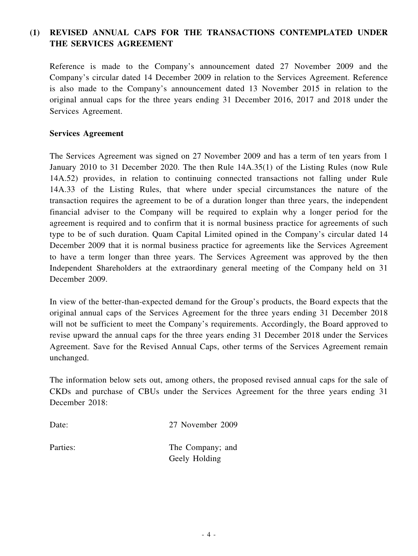### **(1) REVISED ANNUAL CAPS FOR THE TRANSACTIONS CONTEMPLATED UNDER THE SERVICES AGREEMENT**

Reference is made to the Company's announcement dated 27 November 2009 and the Company's circular dated 14 December 2009 in relation to the Services Agreement. Reference is also made to the Company's announcement dated 13 November 2015 in relation to the original annual caps for the three years ending 31 December 2016, 2017 and 2018 under the Services Agreement.

### **Services Agreement**

The Services Agreement was signed on 27 November 2009 and has a term of ten years from 1 January 2010 to 31 December 2020. The then Rule 14A.35(1) of the Listing Rules (now Rule 14A.52) provides, in relation to continuing connected transactions not falling under Rule 14A.33 of the Listing Rules, that where under special circumstances the nature of the transaction requires the agreement to be of a duration longer than three years, the independent financial adviser to the Company will be required to explain why a longer period for the agreement is required and to confirm that it is normal business practice for agreements of such type to be of such duration. Quam Capital Limited opined in the Company's circular dated 14 December 2009 that it is normal business practice for agreements like the Services Agreement to have a term longer than three years. The Services Agreement was approved by the then Independent Shareholders at the extraordinary general meeting of the Company held on 31 December 2009.

In view of the better-than-expected demand for the Group's products, the Board expects that the original annual caps of the Services Agreement for the three years ending 31 December 2018 will not be sufficient to meet the Company's requirements. Accordingly, the Board approved to revise upward the annual caps for the three years ending 31 December 2018 under the Services Agreement. Save for the Revised Annual Caps, other terms of the Services Agreement remain unchanged.

The information below sets out, among others, the proposed revised annual caps for the sale of CKDs and purchase of CBUs under the Services Agreement for the three years ending 31 December 2018:

Date: 27 November 2009

Parties: The Company; and Geely Holding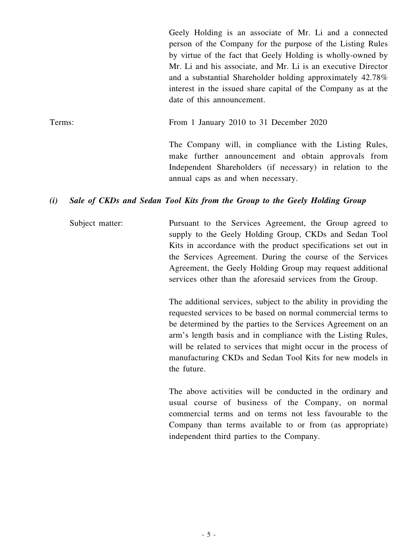Geely Holding is an associate of Mr. Li and a connected person of the Company for the purpose of the Listing Rules by virtue of the fact that Geely Holding is wholly-owned by Mr. Li and his associate, and Mr. Li is an executive Director and a substantial Shareholder holding approximately 42.78% interest in the issued share capital of the Company as at the date of this announcement.

Terms: From 1 January 2010 to 31 December 2020

The Company will, in compliance with the Listing Rules, make further announcement and obtain approvals from Independent Shareholders (if necessary) in relation to the annual caps as and when necessary.

### *(i) Sale of CKDs and Sedan Tool Kits from the Group to the Geely Holding Group*

Subject matter: Pursuant to the Services Agreement, the Group agreed to supply to the Geely Holding Group, CKDs and Sedan Tool Kits in accordance with the product specifications set out in the Services Agreement. During the course of the Services Agreement, the Geely Holding Group may request additional services other than the aforesaid services from the Group.

> The additional services, subject to the ability in providing the requested services to be based on normal commercial terms to be determined by the parties to the Services Agreement on an arm's length basis and in compliance with the Listing Rules, will be related to services that might occur in the process of manufacturing CKDs and Sedan Tool Kits for new models in the future.

> The above activities will be conducted in the ordinary and usual course of business of the Company, on normal commercial terms and on terms not less favourable to the Company than terms available to or from (as appropriate) independent third parties to the Company.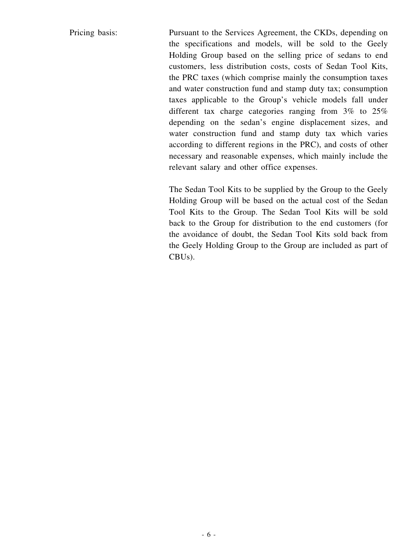Pricing basis: Pursuant to the Services Agreement, the CKDs, depending on the specifications and models, will be sold to the Geely Holding Group based on the selling price of sedans to end customers, less distribution costs, costs of Sedan Tool Kits, the PRC taxes (which comprise mainly the consumption taxes and water construction fund and stamp duty tax; consumption taxes applicable to the Group's vehicle models fall under different tax charge categories ranging from 3% to 25% depending on the sedan's engine displacement sizes, and water construction fund and stamp duty tax which varies according to different regions in the PRC), and costs of other necessary and reasonable expenses, which mainly include the relevant salary and other office expenses.

> The Sedan Tool Kits to be supplied by the Group to the Geely Holding Group will be based on the actual cost of the Sedan Tool Kits to the Group. The Sedan Tool Kits will be sold back to the Group for distribution to the end customers (for the avoidance of doubt, the Sedan Tool Kits sold back from the Geely Holding Group to the Group are included as part of CBUs).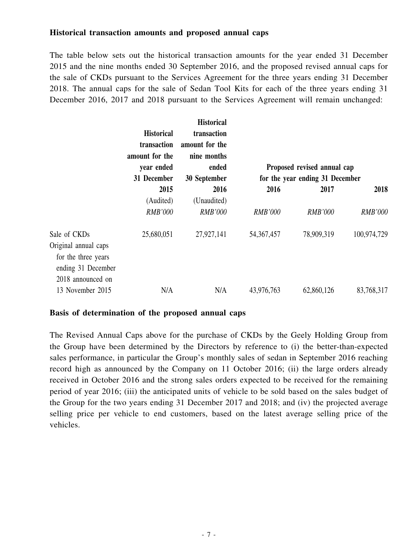### **Historical transaction amounts and proposed annual caps**

The table below sets out the historical transaction amounts for the year ended 31 December 2015 and the nine months ended 30 September 2016, and the proposed revised annual caps for the sale of CKDs pursuant to the Services Agreement for the three years ending 31 December 2018. The annual caps for the sale of Sedan Tool Kits for each of the three years ending 31 December 2016, 2017 and 2018 pursuant to the Services Agreement will remain unchanged:

|                                                                | <b>Historical</b><br>transaction<br>amount for the<br>year ended<br>31 December | <b>Historical</b><br>transaction<br>amount for the<br>nine months<br>ended | Proposed revised annual cap     |                |                |
|----------------------------------------------------------------|---------------------------------------------------------------------------------|----------------------------------------------------------------------------|---------------------------------|----------------|----------------|
|                                                                |                                                                                 | 30 September                                                               | for the year ending 31 December |                |                |
|                                                                | 2015                                                                            | 2016                                                                       | 2016                            | 2017           | 2018           |
|                                                                | (Audited)                                                                       | (Unaudited)                                                                |                                 |                |                |
|                                                                | <b>RMB'000</b>                                                                  | <b>RMB'000</b>                                                             | <b>RMB'000</b>                  | <b>RMB'000</b> | <b>RMB'000</b> |
| Sale of CKDs<br>Original annual caps                           | 25,680,051                                                                      | 27,927,141                                                                 | 54, 367, 457                    | 78,909,319     | 100,974,729    |
| for the three years<br>ending 31 December<br>2018 announced on |                                                                                 |                                                                            |                                 |                |                |
| 13 November 2015                                               | N/A                                                                             | N/A                                                                        | 43,976,763                      | 62,860,126     | 83,768,317     |

### **Basis of determination of the proposed annual caps**

The Revised Annual Caps above for the purchase of CKDs by the Geely Holding Group from the Group have been determined by the Directors by reference to (i) the better-than-expected sales performance, in particular the Group's monthly sales of sedan in September 2016 reaching record high as announced by the Company on 11 October 2016; (ii) the large orders already received in October 2016 and the strong sales orders expected to be received for the remaining period of year 2016; (iii) the anticipated units of vehicle to be sold based on the sales budget of the Group for the two years ending 31 December 2017 and 2018; and (iv) the projected average selling price per vehicle to end customers, based on the latest average selling price of the vehicles.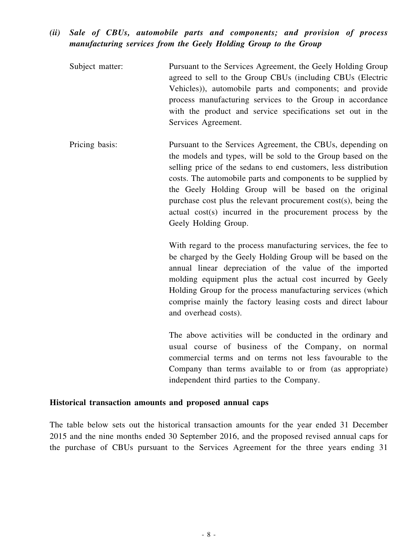### *(ii) Sale of CBUs, automobile parts and components; and provision of process manufacturing services from the Geely Holding Group to the Group*

| Subject matter: | Pursuant to the Services Agreement, the Geely Holding Group |
|-----------------|-------------------------------------------------------------|
|                 | agreed to sell to the Group CBUs (including CBUs (Electric  |
|                 | Vehicles), automobile parts and components; and provide     |
|                 | process manufacturing services to the Group in accordance   |
|                 | with the product and service specifications set out in the  |
|                 | Services Agreement.                                         |

Pricing basis: Pursuant to the Services Agreement, the CBUs, depending on the models and types, will be sold to the Group based on the selling price of the sedans to end customers, less distribution costs. The automobile parts and components to be supplied by the Geely Holding Group will be based on the original purchase cost plus the relevant procurement cost(s), being the actual cost(s) incurred in the procurement process by the Geely Holding Group.

> With regard to the process manufacturing services, the fee to be charged by the Geely Holding Group will be based on the annual linear depreciation of the value of the imported molding equipment plus the actual cost incurred by Geely Holding Group for the process manufacturing services (which comprise mainly the factory leasing costs and direct labour and overhead costs).

> The above activities will be conducted in the ordinary and usual course of business of the Company, on normal commercial terms and on terms not less favourable to the Company than terms available to or from (as appropriate) independent third parties to the Company.

### **Historical transaction amounts and proposed annual caps**

The table below sets out the historical transaction amounts for the year ended 31 December 2015 and the nine months ended 30 September 2016, and the proposed revised annual caps for the purchase of CBUs pursuant to the Services Agreement for the three years ending 31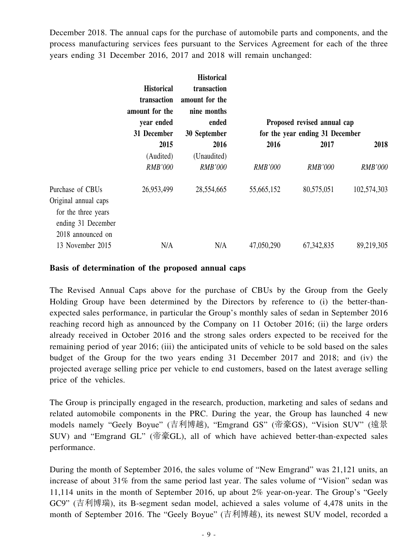December 2018. The annual caps for the purchase of automobile parts and components, and the process manufacturing services fees pursuant to the Services Agreement for each of the three years ending 31 December 2016, 2017 and 2018 will remain unchanged:

|                                                                                                            | <b>Historical</b><br>transaction<br>amount for the<br>year ended<br>31 December | <b>Historical</b><br>transaction<br>amount for the<br>nine months<br>ended<br>30 September | Proposed revised annual cap<br>for the year ending 31 December |                |                |
|------------------------------------------------------------------------------------------------------------|---------------------------------------------------------------------------------|--------------------------------------------------------------------------------------------|----------------------------------------------------------------|----------------|----------------|
|                                                                                                            | 2015                                                                            | 2016                                                                                       | 2016                                                           | 2017           | 2018           |
|                                                                                                            | (Audited)                                                                       | (Unaudited)                                                                                |                                                                |                |                |
|                                                                                                            | <b>RMB'000</b>                                                                  | <b>RMB'000</b>                                                                             | <b>RMB'000</b>                                                 | <b>RMB'000</b> | <b>RMB'000</b> |
| Purchase of CBUs<br>Original annual caps<br>for the three years<br>ending 31 December<br>2018 announced on | 26,953,499                                                                      | 28,554,665                                                                                 | 55,665,152                                                     | 80,575,051     | 102,574,303    |
| 13 November 2015                                                                                           | N/A                                                                             | N/A                                                                                        | 47,050,290                                                     | 67, 342, 835   | 89,219,305     |

### **Basis of determination of the proposed annual caps**

The Revised Annual Caps above for the purchase of CBUs by the Group from the Geely Holding Group have been determined by the Directors by reference to (i) the better-thanexpected sales performance, in particular the Group's monthly sales of sedan in September 2016 reaching record high as announced by the Company on 11 October 2016; (ii) the large orders already received in October 2016 and the strong sales orders expected to be received for the remaining period of year 2016; (iii) the anticipated units of vehicle to be sold based on the sales budget of the Group for the two years ending 31 December 2017 and 2018; and (iv) the projected average selling price per vehicle to end customers, based on the latest average selling price of the vehicles.

The Group is principally engaged in the research, production, marketing and sales of sedans and related automobile components in the PRC. During the year, the Group has launched 4 new models namely "Geely Boyue" (吉利博越), "Emgrand GS" (帝豪GS), "Vision SUV" (遠景 SUV) and "Emgrand GL" (帝豪GL), all of which have achieved better-than-expected sales performance.

During the month of September 2016, the sales volume of "New Emgrand" was 21,121 units, an increase of about 31% from the same period last year. The sales volume of "Vision" sedan was 11,114 units in the month of September 2016, up about 2% year-on-year. The Group's "Geely GC9" (吉利博瑞), its B-segment sedan model, achieved a sales volume of 4,478 units in the month of September 2016. The "Geely Boyue" (吉利博越), its newest SUV model, recorded a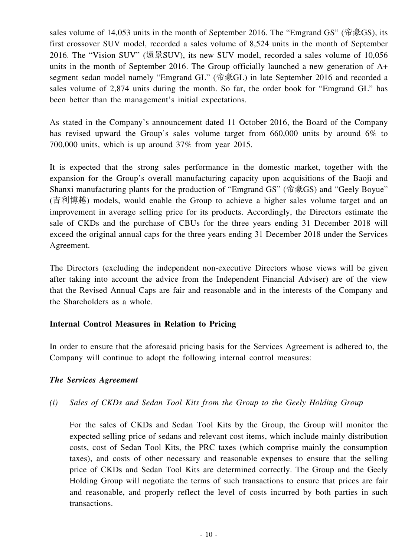sales volume of 14,053 units in the month of September 2016. The "Emgrand GS" (帝豪GS), its first crossover SUV model, recorded a sales volume of 8,524 units in the month of September 2016. The "Vision SUV" (遠景SUV), its new SUV model, recorded a sales volume of 10,056 units in the month of September 2016. The Group officially launched a new generation of A+ segment sedan model namely "Emgrand GL" (帝豪GL) in late September 2016 and recorded a sales volume of 2,874 units during the month. So far, the order book for "Emgrand GL" has been better than the management's initial expectations.

As stated in the Company's announcement dated 11 October 2016, the Board of the Company has revised upward the Group's sales volume target from 660,000 units by around 6% to 700,000 units, which is up around 37% from year 2015.

It is expected that the strong sales performance in the domestic market, together with the expansion for the Group's overall manufacturing capacity upon acquisitions of the Baoji and Shanxi manufacturing plants for the production of "Emgrand GS" (帝豪GS) and "Geely Boyue" (吉利博越) models, would enable the Group to achieve a higher sales volume target and an improvement in average selling price for its products. Accordingly, the Directors estimate the sale of CKDs and the purchase of CBUs for the three years ending 31 December 2018 will exceed the original annual caps for the three years ending 31 December 2018 under the Services Agreement.

The Directors (excluding the independent non-executive Directors whose views will be given after taking into account the advice from the Independent Financial Adviser) are of the view that the Revised Annual Caps are fair and reasonable and in the interests of the Company and the Shareholders as a whole.

### **Internal Control Measures in Relation to Pricing**

In order to ensure that the aforesaid pricing basis for the Services Agreement is adhered to, the Company will continue to adopt the following internal control measures:

### *The Services Agreement*

### *(i) Sales of CKDs and Sedan Tool Kits from the Group to the Geely Holding Group*

For the sales of CKDs and Sedan Tool Kits by the Group, the Group will monitor the expected selling price of sedans and relevant cost items, which include mainly distribution costs, cost of Sedan Tool Kits, the PRC taxes (which comprise mainly the consumption taxes), and costs of other necessary and reasonable expenses to ensure that the selling price of CKDs and Sedan Tool Kits are determined correctly. The Group and the Geely Holding Group will negotiate the terms of such transactions to ensure that prices are fair and reasonable, and properly reflect the level of costs incurred by both parties in such transactions.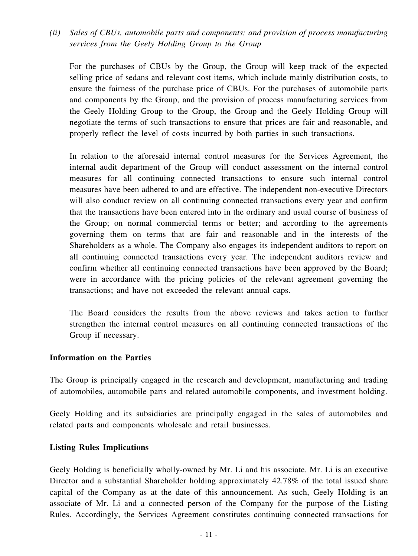*(ii) Sales of CBUs, automobile parts and components; and provision of process manufacturing services from the Geely Holding Group to the Group*

For the purchases of CBUs by the Group, the Group will keep track of the expected selling price of sedans and relevant cost items, which include mainly distribution costs, to ensure the fairness of the purchase price of CBUs. For the purchases of automobile parts and components by the Group, and the provision of process manufacturing services from the Geely Holding Group to the Group, the Group and the Geely Holding Group will negotiate the terms of such transactions to ensure that prices are fair and reasonable, and properly reflect the level of costs incurred by both parties in such transactions.

In relation to the aforesaid internal control measures for the Services Agreement, the internal audit department of the Group will conduct assessment on the internal control measures for all continuing connected transactions to ensure such internal control measures have been adhered to and are effective. The independent non-executive Directors will also conduct review on all continuing connected transactions every year and confirm that the transactions have been entered into in the ordinary and usual course of business of the Group; on normal commercial terms or better; and according to the agreements governing them on terms that are fair and reasonable and in the interests of the Shareholders as a whole. The Company also engages its independent auditors to report on all continuing connected transactions every year. The independent auditors review and confirm whether all continuing connected transactions have been approved by the Board; were in accordance with the pricing policies of the relevant agreement governing the transactions; and have not exceeded the relevant annual caps.

The Board considers the results from the above reviews and takes action to further strengthen the internal control measures on all continuing connected transactions of the Group if necessary.

### **Information on the Parties**

The Group is principally engaged in the research and development, manufacturing and trading of automobiles, automobile parts and related automobile components, and investment holding.

Geely Holding and its subsidiaries are principally engaged in the sales of automobiles and related parts and components wholesale and retail businesses.

### **Listing Rules Implications**

Geely Holding is beneficially wholly-owned by Mr. Li and his associate. Mr. Li is an executive Director and a substantial Shareholder holding approximately 42.78% of the total issued share capital of the Company as at the date of this announcement. As such, Geely Holding is an associate of Mr. Li and a connected person of the Company for the purpose of the Listing Rules. Accordingly, the Services Agreement constitutes continuing connected transactions for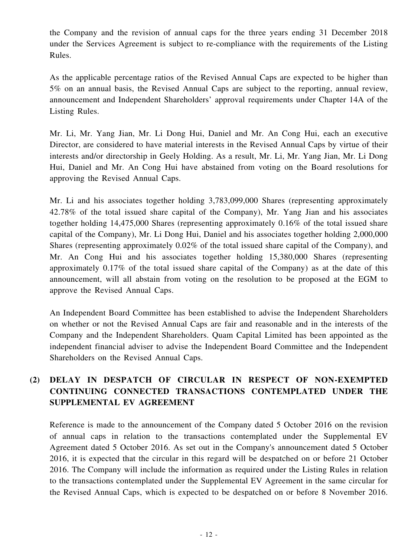the Company and the revision of annual caps for the three years ending 31 December 2018 under the Services Agreement is subject to re-compliance with the requirements of the Listing Rules.

As the applicable percentage ratios of the Revised Annual Caps are expected to be higher than 5% on an annual basis, the Revised Annual Caps are subject to the reporting, annual review, announcement and Independent Shareholders' approval requirements under Chapter 14A of the Listing Rules.

Mr. Li, Mr. Yang Jian, Mr. Li Dong Hui, Daniel and Mr. An Cong Hui, each an executive Director, are considered to have material interests in the Revised Annual Caps by virtue of their interests and/or directorship in Geely Holding. As a result, Mr. Li, Mr. Yang Jian, Mr. Li Dong Hui, Daniel and Mr. An Cong Hui have abstained from voting on the Board resolutions for approving the Revised Annual Caps.

Mr. Li and his associates together holding 3,783,099,000 Shares (representing approximately 42.78% of the total issued share capital of the Company), Mr. Yang Jian and his associates together holding 14,475,000 Shares (representing approximately 0.16% of the total issued share capital of the Company), Mr. Li Dong Hui, Daniel and his associates together holding 2,000,000 Shares (representing approximately 0.02% of the total issued share capital of the Company), and Mr. An Cong Hui and his associates together holding 15,380,000 Shares (representing approximately 0.17% of the total issued share capital of the Company) as at the date of this announcement, will all abstain from voting on the resolution to be proposed at the EGM to approve the Revised Annual Caps.

An Independent Board Committee has been established to advise the Independent Shareholders on whether or not the Revised Annual Caps are fair and reasonable and in the interests of the Company and the Independent Shareholders. Quam Capital Limited has been appointed as the independent financial adviser to advise the Independent Board Committee and the Independent Shareholders on the Revised Annual Caps.

### **(2) DELAY IN DESPATCH OF CIRCULAR IN RESPECT OF NON-EXEMPTED CONTINUING CONNECTED TRANSACTIONS CONTEMPLATED UNDER THE SUPPLEMENTAL EV AGREEMENT**

Reference is made to the announcement of the Company dated 5 October 2016 on the revision of annual caps in relation to the transactions contemplated under the Supplemental EV Agreement dated 5 October 2016. As set out in the Company's announcement dated 5 October 2016, it is expected that the circular in this regard will be despatched on or before 21 October 2016. The Company will include the information as required under the Listing Rules in relation to the transactions contemplated under the Supplemental EV Agreement in the same circular for the Revised Annual Caps, which is expected to be despatched on or before 8 November 2016.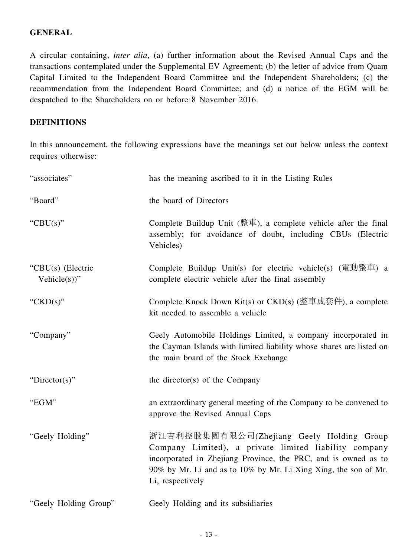### **GENERAL**

A circular containing, *inter alia*, (a) further information about the Revised Annual Caps and the transactions contemplated under the Supplemental EV Agreement; (b) the letter of advice from Quam Capital Limited to the Independent Board Committee and the Independent Shareholders; (c) the recommendation from the Independent Board Committee; and (d) a notice of the EGM will be despatched to the Shareholders on or before 8 November 2016.

### **DEFINITIONS**

In this announcement, the following expressions have the meanings set out below unless the context requires otherwise:

| "associates"                         | has the meaning ascribed to it in the Listing Rules                                                                                                                                                                                                         |
|--------------------------------------|-------------------------------------------------------------------------------------------------------------------------------------------------------------------------------------------------------------------------------------------------------------|
| "Board"                              | the board of Directors                                                                                                                                                                                                                                      |
| "CBU $(s)$ "                         | Complete Buildup Unit (整車), a complete vehicle after the final<br>assembly; for avoidance of doubt, including CBUs (Electric<br>Vehicles)                                                                                                                   |
| "CBU(s) (Electric<br>Vehicle $(s)$ " | Complete Buildup Unit(s) for electric vehicle(s) (電動整車) a<br>complete electric vehicle after the final assembly                                                                                                                                             |
| " $CKD(s)$ "                         | Complete Knock Down Kit(s) or CKD(s) (整車成套件), a complete<br>kit needed to assemble a vehicle                                                                                                                                                                |
| "Company"                            | Geely Automobile Holdings Limited, a company incorporated in<br>the Cayman Islands with limited liability whose shares are listed on<br>the main board of the Stock Exchange                                                                                |
| "Director(s)"                        | the director(s) of the Company                                                                                                                                                                                                                              |
| "EGM"                                | an extraordinary general meeting of the Company to be convened to<br>approve the Revised Annual Caps                                                                                                                                                        |
| "Geely Holding"                      | 浙江吉利控股集團有限公司(Zhejiang Geely Holding Group<br>Company Limited), a private limited liability company<br>incorporated in Zhejiang Province, the PRC, and is owned as to<br>90% by Mr. Li and as to 10% by Mr. Li Xing Xing, the son of Mr.<br>Li, respectively |
| "Geely Holding Group"                | Geely Holding and its subsidiaries                                                                                                                                                                                                                          |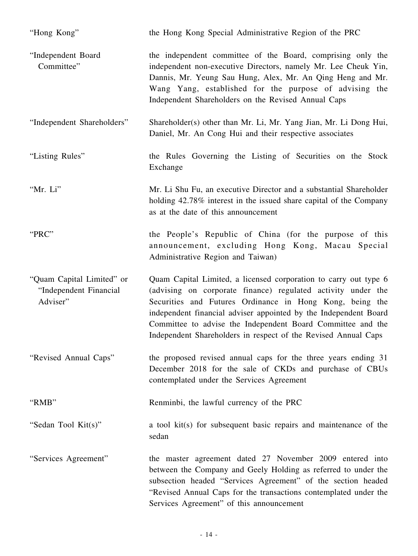| "Hong Kong"                                                     | the Hong Kong Special Administrative Region of the PRC                                                                                                                                                                                                                                                                                                                                            |
|-----------------------------------------------------------------|---------------------------------------------------------------------------------------------------------------------------------------------------------------------------------------------------------------------------------------------------------------------------------------------------------------------------------------------------------------------------------------------------|
| "Independent Board<br>Committee"                                | the independent committee of the Board, comprising only the<br>independent non-executive Directors, namely Mr. Lee Cheuk Yin,<br>Dannis, Mr. Yeung Sau Hung, Alex, Mr. An Qing Heng and Mr.<br>Wang Yang, established for the purpose of advising the<br>Independent Shareholders on the Revised Annual Caps                                                                                      |
| "Independent Shareholders"                                      | Shareholder(s) other than Mr. Li, Mr. Yang Jian, Mr. Li Dong Hui,<br>Daniel, Mr. An Cong Hui and their respective associates                                                                                                                                                                                                                                                                      |
| "Listing Rules"                                                 | the Rules Governing the Listing of Securities on the Stock<br>Exchange                                                                                                                                                                                                                                                                                                                            |
| "Mr. Li"                                                        | Mr. Li Shu Fu, an executive Director and a substantial Shareholder<br>holding 42.78% interest in the issued share capital of the Company<br>as at the date of this announcement                                                                                                                                                                                                                   |
| "PRC"                                                           | the People's Republic of China (for the purpose of this<br>announcement, excluding Hong Kong, Macau Special<br>Administrative Region and Taiwan)                                                                                                                                                                                                                                                  |
| "Quam Capital Limited" or<br>"Independent Financial<br>Adviser" | Quam Capital Limited, a licensed corporation to carry out type 6<br>(advising on corporate finance) regulated activity under the<br>Securities and Futures Ordinance in Hong Kong, being the<br>independent financial adviser appointed by the Independent Board<br>Committee to advise the Independent Board Committee and the<br>Independent Shareholders in respect of the Revised Annual Caps |
| "Revised Annual Caps"                                           | the proposed revised annual caps for the three years ending 31<br>December 2018 for the sale of CKDs and purchase of CBUs<br>contemplated under the Services Agreement                                                                                                                                                                                                                            |
| "RMB"                                                           | Renminbi, the lawful currency of the PRC                                                                                                                                                                                                                                                                                                                                                          |
| "Sedan Tool Kit(s)"                                             | a tool kit(s) for subsequent basic repairs and maintenance of the<br>sedan                                                                                                                                                                                                                                                                                                                        |
| "Services Agreement"                                            | the master agreement dated 27 November 2009 entered into<br>between the Company and Geely Holding as referred to under the<br>subsection headed "Services Agreement" of the section headed<br>"Revised Annual Caps for the transactions contemplated under the<br>Services Agreement" of this announcement                                                                                        |